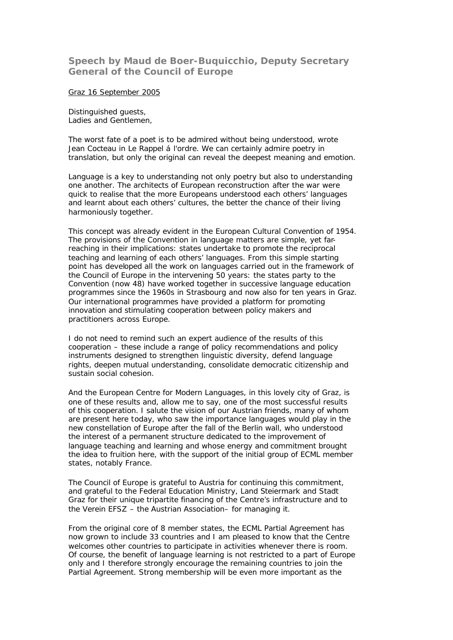## **Speech by Maud de Boer-Buquicchio, Deputy Secretary General of the Council of Europe**

## Graz 16 September 2005

Distinguished guests, Ladies and Gentlemen,

The worst fate of a poet is to be admired without being understood, wrote Jean Cocteau in Le Rappel á l'ordre. We can certainly admire poetry in translation, but only the original can reveal the deepest meaning and emotion.

Language is a key to understanding not only poetry but also to understanding one another. The architects of European reconstruction after the war were quick to realise that the more Europeans understood each others' languages and learnt about each others' cultures, the better the chance of their living harmoniously together.

This concept was already evident in the European Cultural Convention of 1954. The provisions of the Convention in language matters are simple, yet farreaching in their implications: states undertake to promote the reciprocal teaching and learning of each others' languages. From this simple starting point has developed all the work on languages carried out in the framework of the Council of Europe in the intervening 50 years: the states party to the Convention (now 48) have worked together in successive language education programmes since the 1960s in Strasbourg and now also for ten years in Graz. Our international programmes have provided a platform for promoting innovation and stimulating cooperation between policy makers and practitioners across Europe.

I do not need to remind such an expert audience of the results of this cooperation – these include a range of policy recommendations and policy instruments designed to strengthen linguistic diversity, defend language rights, deepen mutual understanding, consolidate democratic citizenship and sustain social cohesion.

And the European Centre for Modern Languages, in this lovely city of Graz, is one of these results and, allow me to say, one of the most successful results of this cooperation. I salute the vision of our Austrian friends, many of whom are present here today, who saw the importance languages would play in the new constellation of Europe after the fall of the Berlin wall, who understood the interest of a permanent structure dedicated to the improvement of language teaching and learning and whose energy and commitment brought the idea to fruition here, with the support of the initial group of ECML member states, notably France.

The Council of Europe is grateful to Austria for continuing this commitment, and grateful to the Federal Education Ministry, Land Steiermark and Stadt Graz for their unique tripartite financing of the Centre's infrastructure and to the Verein EFSZ – the Austrian Association– for managing it.

From the original core of 8 member states, the ECML Partial Agreement has now grown to include 33 countries and I am pleased to know that the Centre welcomes other countries to participate in activities whenever there is room. Of course, the benefit of language learning is not restricted to a part of Europe only and I therefore strongly encourage the remaining countries to join the Partial Agreement. Strong membership will be even more important as the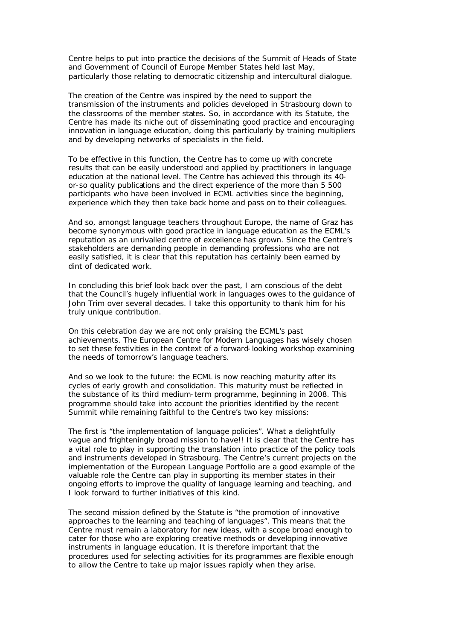Centre helps to put into practice the decisions of the Summit of Heads of State and Government of Council of Europe Member States held last May, particularly those relating to democratic citizenship and intercultural dialogue.

The creation of the Centre was inspired by the need to support the transmission of the instruments and policies developed in Strasbourg down to the classrooms of the member states. So, in accordance with its Statute, the Centre has made its niche out of disseminating good practice and encouraging innovation in language education, doing this particularly by training multipliers and by developing networks of specialists in the field.

To be effective in this function, the Centre has to come up with concrete results that can be easily understood and applied by practitioners in language education at the national level. The Centre has achieved this through its 40 or-so quality publications and the direct experience of the more than 5 500 participants who have been involved in ECML activities since the beginning, experience which they then take back home and pass on to their colleagues.

And so, amongst language teachers throughout Europe, the name of Graz has become synonymous with good practice in language education as the ECML's reputation as an unrivalled centre of excellence has grown. Since the Centre's stakeholders are demanding people in demanding professions who are not easily satisfied, it is clear that this reputation has certainly been earned by dint of dedicated work.

In concluding this brief look back over the past, I am conscious of the debt that the Council's hugely influential work in languages owes to the guidance of John Trim over several decades. I take this opportunity to thank him for his truly unique contribution.

On this celebration day we are not only praising the ECML's past achievements. The European Centre for Modern Languages has wisely chosen to set these festivities in the context of a forward-looking workshop examining the needs of tomorrow's language teachers.

And so we look to the future: the ECML is now reaching maturity after its cycles of early growth and consolidation. This maturity must be reflected in the substance of its third medium-term programme, beginning in 2008. This programme should take into account the priorities identified by the recent Summit while remaining faithful to the Centre's two key missions:

The first is "the implementation of language policies". What a delightfully vague and frighteningly broad mission to have!! It is clear that the Centre has a vital role to play in supporting the translation into practice of the policy tools and instruments developed in Strasbourg. The Centre's current projects on the implementation of the European Language Portfolio are a good example of the valuable role the Centre can play in supporting its member states in their ongoing efforts to improve the quality of language learning and teaching, and I look forward to further initiatives of this kind.

The second mission defined by the Statute is "the promotion of innovative approaches to the learning and teaching of languages". This means that the Centre must remain a laboratory for new ideas, with a scope broad enough to cater for those who are exploring creative methods or developing innovative instruments in language education. It is therefore important that the procedures used for selecting activities for its programmes are flexible enough to allow the Centre to take up major issues rapidly when they arise.